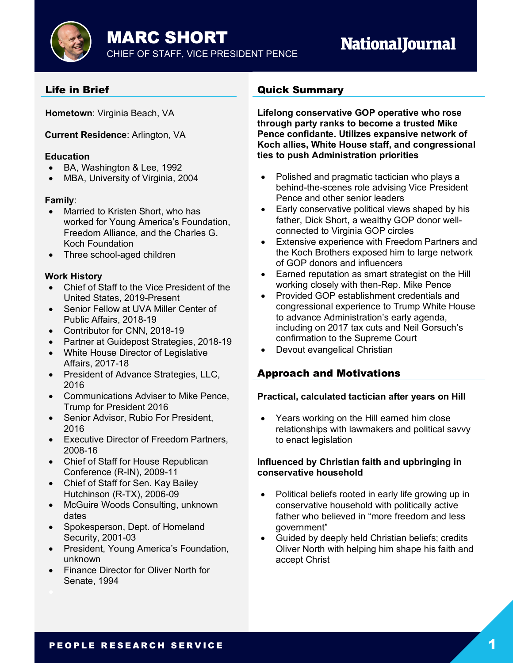# **NationalJournal**

## Life in Brief

**Hometown**: Virginia Beach, VA

#### **Current Residence**: Arlington, VA

#### **Education**

- BA, Washington & Lee, 1992
- MBA, University of Virginia, 2004

#### **Family**:

- Married to Kristen Short, who has worked for Young America's Foundation, Freedom Alliance, and the Charles G. Koch Foundation
- Three school-aged children

#### **Work History**

- Chief of Staff to the Vice President of the United States, 2019-Present
- Senior Fellow at UVA Miller Center of Public Affairs, 2018-19
- Contributor for CNN, 2018-19
- Partner at Guidepost Strategies, 2018-19
- White House Director of Legislative Affairs, 2017-18
- President of Advance Strategies, LLC, 2016
- Communications Adviser to Mike Pence, Trump for President 2016
- Senior Advisor, Rubio For President, 2016
- Executive Director of Freedom Partners, 2008-16
- Chief of Staff for House Republican Conference (R-IN), 2009-11
- Chief of Staff for Sen. Kay Bailey Hutchinson (R-TX), 2006-09
- McGuire Woods Consulting, unknown dates
- Spokesperson, Dept. of Homeland Security, 2001-03
- President, Young America's Foundation, unknown
- Finance Director for Oliver North for Senate, 1994

## Quick Summary

**Lifelong conservative GOP operative who rose through party ranks to become a trusted Mike Pence confidante. Utilizes expansive network of Koch allies, White House staff, and congressional ties to push Administration priorities**

- Polished and pragmatic tactician who plays a behind-the-scenes role advising Vice President Pence and other senior leaders
- Early conservative political views shaped by his father, Dick Short, a wealthy GOP donor wellconnected to Virginia GOP circles
- Extensive experience with Freedom Partners and the Koch Brothers exposed him to large network of GOP donors and influencers
- Earned reputation as smart strategist on the Hill working closely with then-Rep. Mike Pence
- Provided GOP establishment credentials and congressional experience to Trump White House to advance Administration's early agenda, including on 2017 tax cuts and Neil Gorsuch's confirmation to the Supreme Court
- Devout evangelical Christian

## Approach and Motivations

#### **Practical, calculated tactician after years on Hill**

• Years working on the Hill earned him close relationships with lawmakers and political savvy to enact legislation

#### **Influenced by Christian faith and upbringing in conservative household**

- Political beliefs rooted in early life growing up in conservative household with politically active father who believed in "more freedom and less government"
- Guided by deeply held Christian beliefs; credits Oliver North with helping him shape his faith and accept Christ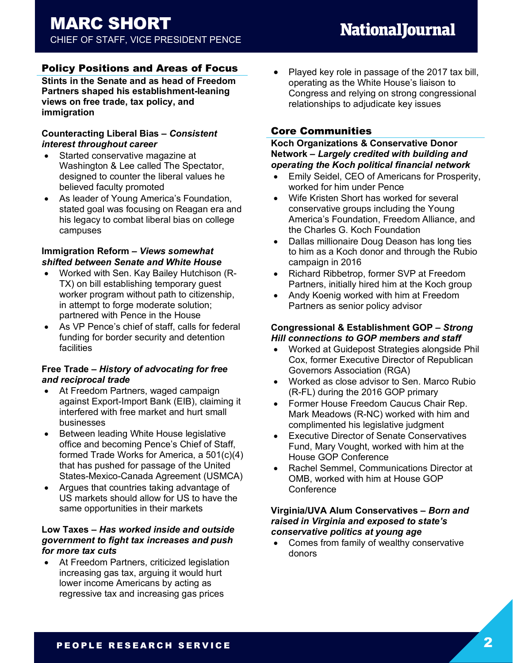## Policy Positions and Areas of Focus

**Stints in the Senate and as head of Freedom Partners shaped his establishment-leaning views on free trade, tax policy, and immigration**

#### **Counteracting Liberal Bias** *– Consistent interest throughout career*

- Started conservative magazine at Washington & Lee called The Spectator, designed to counter the liberal values he believed faculty promoted
- As leader of Young America's Foundation, stated goal was focusing on Reagan era and his legacy to combat liberal bias on college campuses

#### **Immigration Reform** *– Views somewhat shifted between Senate and White House*

- Worked with Sen. Kay Bailey Hutchison (R-TX) on bill establishing temporary guest worker program without path to citizenship, in attempt to forge moderate solution; partnered with Pence in the House
- As VP Pence's chief of staff, calls for federal funding for border security and detention facilities

#### **Free Trade** *– History of advocating for free and reciprocal trade*

- At Freedom Partners, waged campaign against Export-Import Bank (EIB), claiming it interfered with free market and hurt small businesses
- Between leading White House legislative office and becoming Pence's Chief of Staff, formed Trade Works for America, a 501(c)(4) that has pushed for passage of the United States-Mexico-Canada Agreement (USMCA)
- Argues that countries taking advantage of US markets should allow for US to have the same opportunities in their markets

#### **Low Taxes** *– Has worked inside and outside government to fight tax increases and push for more tax cuts*

• At Freedom Partners, criticized legislation increasing gas tax, arguing it would hurt lower income Americans by acting as regressive tax and increasing gas prices

• Played key role in passage of the 2017 tax bill, operating as the White House's liaison to Congress and relying on strong congressional relationships to adjudicate key issues

## Core Communities

#### **Koch Organizations & Conservative Donor Network** *– Largely credited with building and operating the Koch political financial network*

- Emily Seidel, CEO of Americans for Prosperity, worked for him under Pence
- Wife Kristen Short has worked for several conservative groups including the Young America's Foundation, Freedom Alliance, and the Charles G. Koch Foundation
- Dallas millionaire Doug Deason has long ties to him as a Koch donor and through the Rubio campaign in 2016
- Richard Ribbetrop, former SVP at Freedom Partners, initially hired him at the Koch group
- Andy Koenig worked with him at Freedom Partners as senior policy advisor

#### **Congressional & Establishment GOP** *– Strong Hill connections to GOP members and staff*

- Worked at Guidepost Strategies alongside Phil Cox, former Executive Director of Republican Governors Association (RGA)
- Worked as close advisor to Sen. Marco Rubio (R-FL) during the 2016 GOP primary
- Former House Freedom Caucus Chair Rep. Mark Meadows (R-NC) worked with him and complimented his legislative judgment
- Executive Director of Senate Conservatives Fund, Mary Vought, worked with him at the House GOP Conference
- Rachel Semmel, Communications Director at OMB, worked with him at House GOP Conference

#### **Virginia/UVA Alum Conservatives** *– Born and raised in Virginia and exposed to state's conservative politics at young age*

• Comes from family of wealthy conservative donors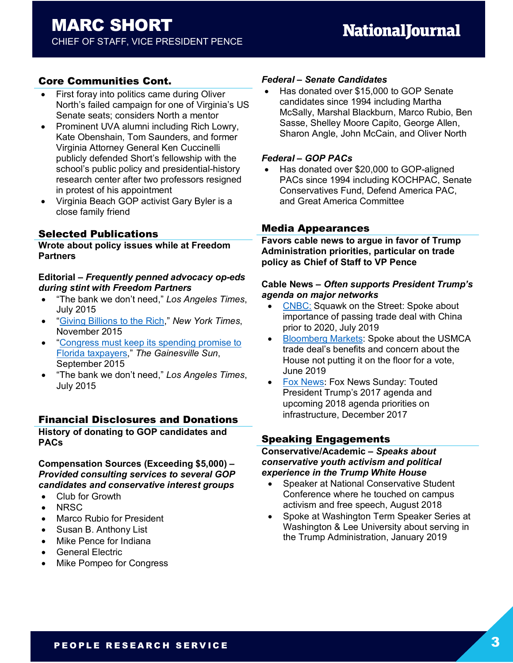## Core Communities Cont.

- First foray into politics came during Oliver North's failed campaign for one of Virginia's US Senate seats; considers North a mentor
- Prominent UVA alumni including Rich Lowry, Kate Obenshain, Tom Saunders, and former Virginia Attorney General Ken Cuccinelli publicly defended Short's fellowship with the school's public policy and presidential-history research center after two professors resigned in protest of his appointment
- Virginia Beach GOP activist Gary Byler is a close family friend

## Selected Publications

**Wrote about policy issues while at Freedom Partners**

#### **Editorial** *– Frequently penned advocacy op-eds during stint with Freedom Partners*

- "The bank we don't need," *Los Angeles Times*, July 2015
- "Giving Billions to the Rich," *New York Times*, November 2015
- "Congress must keep its spending promise to Florida taxpayers," *The Gainesville Sun*, September 2015
- "The bank we don't need," *Los Angeles Times*, July 2015

## Financial Disclosures and Donations

**History of donating to GOP candidates and PACs**

#### **Compensation Sources (Exceeding \$5,000)** *– Provided consulting services to several GOP candidates and conservative interest groups*

- Club for Growth
- NRSC
- Marco Rubio for President
- Susan B. Anthony List
- Mike Pence for Indiana
- General Electric
- Mike Pompeo for Congress

#### *Federal – Senate Candidates*

• Has donated over \$15,000 to GOP Senate candidates since 1994 including Martha McSally, Marshal Blackburn, Marco Rubio, Ben Sasse, Shelley Moore Capito, George Allen, Sharon Angle, John McCain, and Oliver North

#### *Federal – GOP PACs*

• Has donated over \$20,000 to GOP-aligned PACs since 1994 including KOCHPAC, Senate Conservatives Fund, Defend America PAC, and Great America Committee

## Media Appearances

**Favors cable news to argue in favor of Trump Administration priorities, particular on trade policy as Chief of Staff to VP Pence**

#### **Cable News** *– Often supports President Trump's agenda on major networks*

- CNBC: Squawk on the Street: Spoke about importance of passing trade deal with China prior to 2020, July 2019
- Bloomberg Markets: Spoke about the USMCA trade deal's benefits and concern about the House not putting it on the floor for a vote, June 2019
- Fox News: Fox News Sunday: Touted President Trump's 2017 agenda and upcoming 2018 agenda priorities on infrastructure, December 2017

## Speaking Engagements

**Conservative/Academic** *– Speaks about conservative youth activism and political experience in the Trump White House*

- Speaker at National Conservative Student Conference where he touched on campus activism and free speech, August 2018
- Spoke at Washington Term Speaker Series at Washington & Lee University about serving in the Trump Administration, January 2019

## PEOPLE RESEARCH SERVICE 3